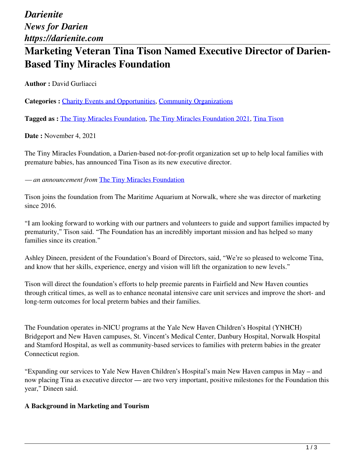# **Marketing Veteran Tina Tison Named Executive Director of Darien-Based Tiny Miracles Foundation**

**Author :** David Gurliacci

**Categories :** [Charity Events and Opportunities](https://darienite.com/category/charity-events-and-opportunities), Community Organizations

**Tagged as :** The Tiny Miracles Foundation, The Tiny Miracles Foundation 2021, Tina Tison

**Date :** November 4, 2021

The Tiny Miracles Foundation, a Darien-based not-for-profit organization set up to help local families with premature babies, has announced Tina Tison as its new executive director.

*— an announcement from* The Tiny Miracles Foundation

Tison joins the foundation from The Maritime Aquarium at Norwalk, where she was director of marketing since 2016.

"I am looking forward to working with our partners and volunteers to guide and support families impacted by prematurity," Tison said. "The Foundation has an incredibly important mission and has helped so many families since its creation."

Ashley Dineen, president of the Foundation's Board of Directors, said, "We're so pleased to welcome Tina, and know that her skills, experience, energy and vision will lift the organization to new levels."

Tison will direct the foundation's efforts to help preemie parents in Fairfield and New Haven counties through critical times, as well as to enhance neonatal intensive care unit services and improve the short- and long-term outcomes for local preterm babies and their families.

The Foundation operates in-NICU programs at the Yale New Haven Children's Hospital (YNHCH) Bridgeport and New Haven campuses, St. Vincent's Medical Center, Danbury Hospital, Norwalk Hospital and Stamford Hospital, as well as community-based services to families with preterm babies in the greater Connecticut region.

"Expanding our services to Yale New Haven Children's Hospital's main New Haven campus in May – and now placing Tina as executive director — are two very important, positive milestones for the Foundation this year," Dineen said.

#### **A Background in Marketing and Tourism**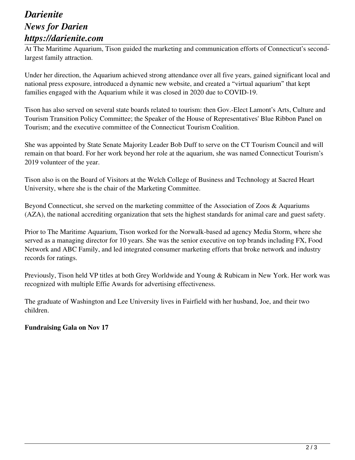## *Darienite News for Darien https://darienite.com*

At The Maritime Aquarium, Tison guided the marketing and communication efforts of Connecticut's secondlargest family attraction.

Under her direction, the Aquarium achieved strong attendance over all five years, gained significant local and national press exposure, introduced a dynamic new website, and created a "virtual aquarium" that kept families engaged with the Aquarium while it was closed in 2020 due to COVID-19.

Tison has also served on several state boards related to tourism: then Gov.-Elect Lamont's Arts, Culture and Tourism Transition Policy Committee; the Speaker of the House of Representatives' Blue Ribbon Panel on Tourism; and the executive committee of the Connecticut Tourism Coalition.

She was appointed by State Senate Majority Leader Bob Duff to serve on the CT Tourism Council and will remain on that board. For her work beyond her role at the aquarium, she was named Connecticut Tourism's 2019 volunteer of the year.

Tison also is on the Board of Visitors at the Welch College of Business and Technology at Sacred Heart University, where she is the chair of the Marketing Committee.

Beyond Connecticut, she served on the marketing committee of the Association of Zoos & Aquariums (AZA), the national accrediting organization that sets the highest standards for animal care and guest safety.

Prior to The Maritime Aquarium, Tison worked for the Norwalk-based ad agency Media Storm, where she served as a managing director for 10 years. She was the senior executive on top brands including FX, Food Network and ABC Family, and led integrated consumer marketing efforts that broke network and industry records for ratings.

Previously, Tison held VP titles at both Grey Worldwide and Young & Rubicam in New York. Her work was recognized with multiple Effie Awards for advertising effectiveness.

The graduate of Washington and Lee University lives in Fairfield with her husband, Joe, and their two children.

### **Fundraising Gala on Nov 17**